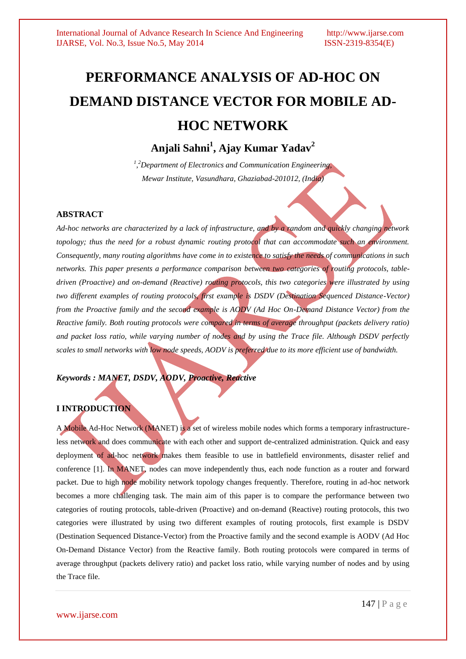# **PERFORMANCE ANALYSIS OF AD-HOC ON DEMAND DISTANCE VECTOR FOR MOBILE AD-HOC NETWORK**

# **Anjali Sahni<sup>1</sup> , Ajay Kumar Yadav<sup>2</sup>**

*1 , <sup>2</sup>Department of Electronics and Communication Engineering, Mewar Institute, Vasundhara, Ghaziabad-201012, (India)*

#### **ABSTRACT**

*Ad-hoc networks are characterized by a lack of infrastructure, and by a random and quickly changing network*  topology; thus the need for a robust dynamic routing protocol that can accommodate such an environment. *Consequently, many routing algorithms have come in to existence to satisfy the needs of communications in such networks. This paper presents a performance comparison between two categories of routing protocols, tabledriven (Proactive) and on-demand (Reactive) routing protocols, this two categories were illustrated by using two different examples of routing protocols, first example is DSDV (Destination Sequenced Distance-Vector) from the Proactive family and the second example is AODV (Ad Hoc On-Demand Distance Vector) from the Reactive family. Both routing protocols were compared in terms of average throughput (packets delivery ratio) and packet loss ratio, while varying number of nodes and by using the Trace file. Although DSDV perfectly scales to small networks with low node speeds, AODV is preferred due to its more efficient use of bandwidth.*

# *Keywords : MANET, DSDV, AODV, Proactive, Reactive*

# **I INTRODUCTION**

A Mobile Ad-Hoc Network (MANET) is a set of wireless mobile nodes which forms a temporary infrastructureless network and does communicate with each other and support de-centralized administration. Quick and easy deployment of ad-hoc network makes them feasible to use in battlefield environments, disaster relief and conference [1]. In MANET, nodes can move independently thus, each node function as a router and forward packet. Due to high node mobility network topology changes frequently. Therefore, routing in ad-hoc network becomes a more challenging task. The main aim of this paper is to compare the performance between two categories of routing protocols, table-driven (Proactive) and on-demand (Reactive) routing protocols, this two categories were illustrated by using two different examples of routing protocols, first example is DSDV (Destination Sequenced Distance-Vector) from the Proactive family and the second example is AODV (Ad Hoc On-Demand Distance Vector) from the Reactive family. Both routing protocols were compared in terms of average throughput (packets delivery ratio) and packet loss ratio, while varying number of nodes and by using the Trace file.

www.ijarse.com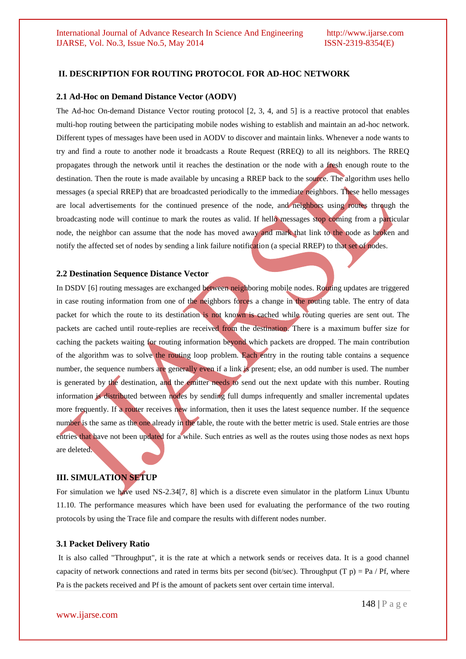#### **II. DESCRIPTION FOR ROUTING PROTOCOL FOR AD-HOC NETWORK**

#### **2.1 Ad-Hoc on Demand Distance Vector (AODV)**

The Ad-hoc On-demand Distance Vector routing protocol [2, 3, 4, and 5] is a reactive protocol that enables multi-hop routing between the participating mobile nodes wishing to establish and maintain an ad-hoc network. Different types of messages have been used in AODV to discover and maintain links. Whenever a node wants to try and find a route to another node it broadcasts a Route Request (RREQ) to all its neighbors. The RREQ propagates through the network until it reaches the destination or the node with a fresh enough route to the destination. Then the route is made available by uncasing a RREP back to the source. The algorithm uses hello messages (a special RREP) that are broadcasted periodically to the immediate neighbors. These hello messages are local advertisements for the continued presence of the node, and neighbors using routes through the broadcasting node will continue to mark the routes as valid. If hello messages stop coming from a particular node, the neighbor can assume that the node has moved away and mark that link to the node as broken and notify the affected set of nodes by sending a link failure notification (a special RREP) to that set of nodes.

#### **2.2 Destination Sequence Distance Vector**

In DSDV [6] routing messages are exchanged between neighboring mobile nodes. Routing updates are triggered in case routing information from one of the neighbors forces a change in the routing table. The entry of data packet for which the route to its destination is not known is cached while routing queries are sent out. The packets are cached until route-replies are received from the destination. There is a maximum buffer size for caching the packets waiting for routing information beyond which packets are dropped. The main contribution of the algorithm was to solve the routing loop problem. Each entry in the routing table contains a sequence number, the sequence numbers are generally even if a link is present; else, an odd number is used. The number is generated by the destination, and the emitter needs to send out the next update with this number. Routing information is distributed between nodes by sending full dumps infrequently and smaller incremental updates more frequently. If a router receives new information, then it uses the latest sequence number. If the sequence number is the same as the one already in the table, the route with the better metric is used. Stale entries are those entries that have not been updated for a while. Such entries as well as the routes using those nodes as next hops are deleted.

#### **III. SIMULATION SETUP**

For simulation we have used NS-2.34[7, 8] which is a discrete even simulator in the platform Linux Ubuntu 11.10. The performance measures which have been used for evaluating the performance of the two routing protocols by using the Trace file and compare the results with different nodes number.

#### **3.1 Packet Delivery Ratio**

It is also called "Throughput", it is the rate at which a network sends or receives data. It is a good channel capacity of network connections and rated in terms bits per second (bit/sec). Throughput (T p) = Pa / Pf, where Pa is the packets received and Pf is the amount of packets sent over certain time interval.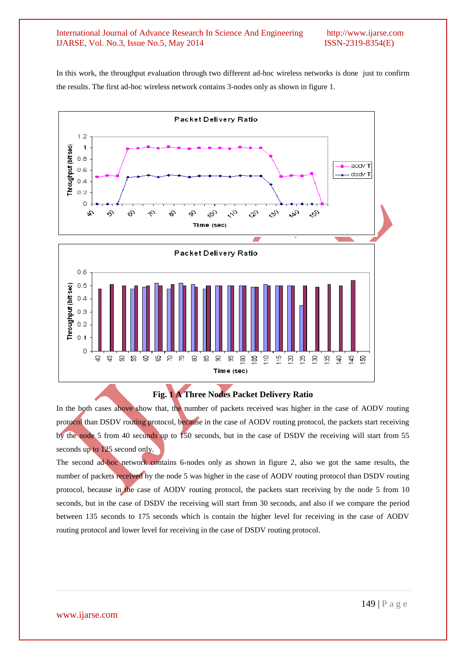#### International Journal of Advance Research In Science And Engineering http://www.ijarse.com IJARSE, Vol. No.3, Issue No.5, May 2014 ISSN-2319-8354(E)

In this work, the throughput evaluation through two different ad-hoc wireless networks is done just to confirm the results. The first ad-hoc wireless network contains 3-nodes only as shown in figure 1.



# **Fig. 1 A Three Nodes Packet Delivery Ratio**

In the both cases above show that, the number of packets received was higher in the case of AODV routing protocol than DSDV routing protocol, because in the case of AODV routing protocol, the packets start receiving by the node 5 from 40 seconds up to 150 seconds, but in the case of DSDV the receiving will start from 55 seconds up to 125 second only.

The second ad-hoc network contains 6-nodes only as shown in figure 2, also we got the same results, the number of packets received by the node 5 was higher in the case of AODV routing protocol than DSDV routing protocol, because in the case of AODV routing protocol, the packets start receiving by the node 5 from 10 seconds, but in the case of DSDV the receiving will start from 30 seconds, and also if we compare the period between 135 seconds to 175 seconds which is contain the higher level for receiving in the case of AODV routing protocol and lower level for receiving in the case of DSDV routing protocol.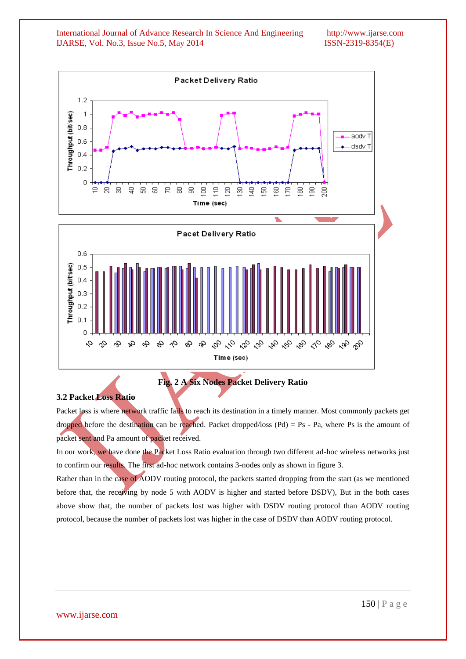International Journal of Advance Research In Science And Engineering http://www.ijarse.com IJARSE, Vol. No.3, Issue No.5, May 2014 ISSN-2319-8354(E)



**Fig. 2 A Six Nodes Packet Delivery Ratio**

#### **3.2 Packet Loss Ratio**

Packet loss is where network traffic fails to reach its destination in a timely manner. Most commonly packets get dropped before the destination can be reached. Packet dropped/loss  $(Pd) = Ps - Pa$ , where Ps is the amount of packet sent and Pa amount of packet received.

In our work, we have done the Packet Loss Ratio evaluation through two different ad-hoc wireless networks just to confirm our results. The first ad-hoc network contains 3-nodes only as shown in figure 3.

Rather than in the case of AODV routing protocol, the packets started dropping from the start (as we mentioned before that, the receiving by node 5 with AODV is higher and started before DSDV), But in the both cases above show that, the number of packets lost was higher with DSDV routing protocol than AODV routing protocol, because the number of packets lost was higher in the case of DSDV than AODV routing protocol.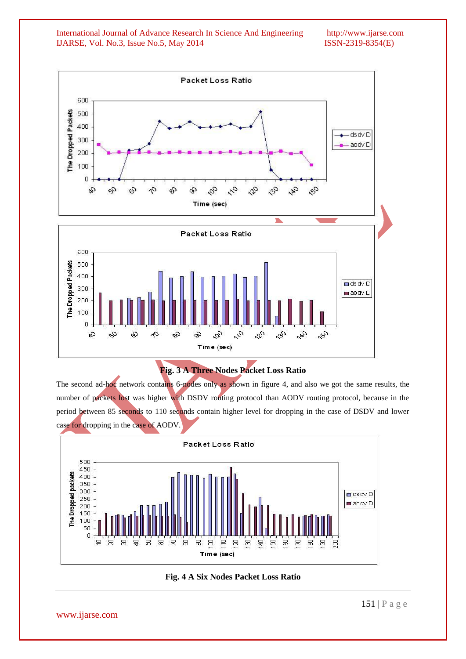International Journal of Advance Research In Science And Engineering http://www.ijarse.com IJARSE, Vol. No.3, Issue No.5, May 2014 ISSN-2319-8354(E)





The second ad-hoc network contains 6-nodes only as shown in figure 4, and also we got the same results, the number of packets lost was higher with DSDV routing protocol than AODV routing protocol, because in the period between 85 seconds to 110 seconds contain higher level for dropping in the case of DSDV and lower case for dropping in the case of AODV.



**Fig. 4 A Six Nodes Packet Loss Ratio**

www.ijarse.com